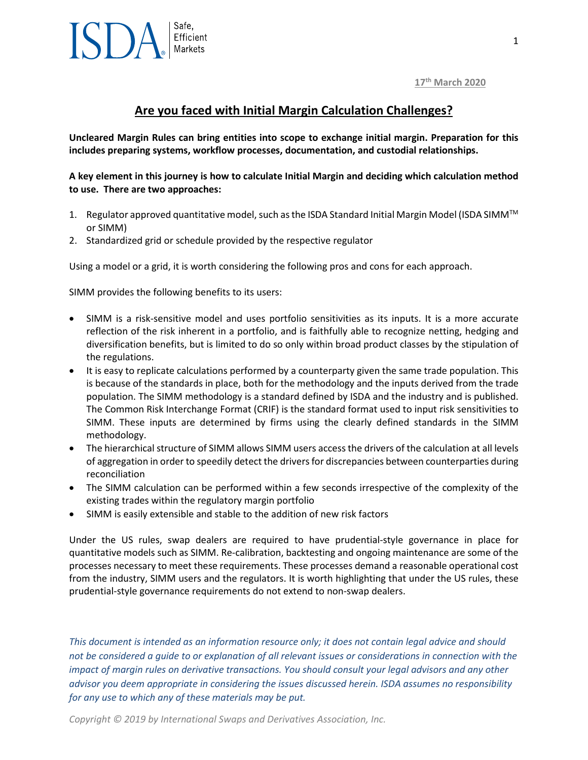### **17th March 2020**

### **Are you faced with Initial Margin Calculation Challenges?**

**Uncleared Margin Rules can bring entities into scope to exchange initial margin. Preparation for this includes preparing systems, workflow processes, documentation, and custodial relationships.** 

**A key element in this journey is how to calculate Initial Margin and deciding which calculation method to use. There are two approaches:**

- 1. Regulator approved quantitative model, such as the ISDA Standard Initial Margin Model (ISDA SIMM™ or SIMM)
- 2. Standardized grid or schedule provided by the respective regulator

Using a model or a grid, it is worth considering the following pros and cons for each approach.

SIMM provides the following benefits to its users:

- SIMM is a risk-sensitive model and uses portfolio sensitivities as its inputs. It is a more accurate reflection of the risk inherent in a portfolio, and is faithfully able to recognize netting, hedging and diversification benefits, but is limited to do so only within broad product classes by the stipulation of the regulations.
- It is easy to replicate calculations performed by a counterparty given the same trade population. This is because of the standards in place, both for the methodology and the inputs derived from the trade population. The SIMM methodology is a standard defined by ISDA and the industry and is published. The Common Risk Interchange Format (CRIF) is the standard format used to input risk sensitivities to SIMM. These inputs are determined by firms using the clearly defined standards in the SIMM methodology.
- The hierarchical structure of SIMM allows SIMM users access the drivers of the calculation at all levels of aggregation in order to speedily detect the drivers for discrepancies between counterparties during reconciliation
- The SIMM calculation can be performed within a few seconds irrespective of the complexity of the existing trades within the regulatory margin portfolio
- SIMM is easily extensible and stable to the addition of new risk factors

Under the US rules, swap dealers are required to have prudential-style governance in place for quantitative models such as SIMM. Re-calibration, backtesting and ongoing maintenance are some of the processes necessary to meet these requirements. These processes demand a reasonable operational cost from the industry, SIMM users and the regulators. It is worth highlighting that under the US rules, these prudential-style governance requirements do not extend to non-swap dealers.

*This document is intended as an information resource only; it does not contain legal advice and should not be considered a guide to or explanation of all relevant issues or considerations in connection with the impact of margin rules on derivative transactions. You should consult your legal advisors and any other advisor you deem appropriate in considering the issues discussed herein. ISDA assumes no responsibility for any use to which any of these materials may be put.*

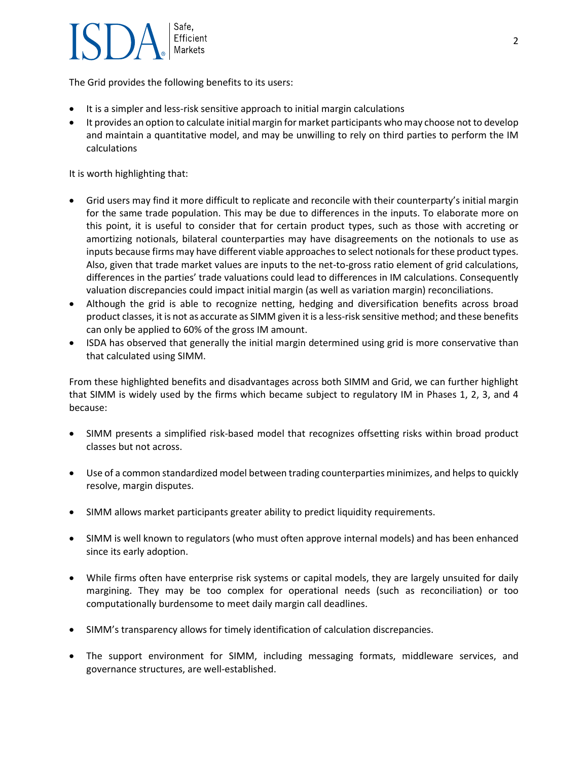# Safe. Efficient **Markets**

The Grid provides the following benefits to its users:

- It is a simpler and less-risk sensitive approach to initial margin calculations
- It provides an option to calculate initial margin for market participants who may choose not to develop and maintain a quantitative model, and may be unwilling to rely on third parties to perform the IM calculations

It is worth highlighting that:

- Grid users may find it more difficult to replicate and reconcile with their counterparty's initial margin for the same trade population. This may be due to differences in the inputs. To elaborate more on this point, it is useful to consider that for certain product types, such as those with accreting or amortizing notionals, bilateral counterparties may have disagreements on the notionals to use as inputs because firms may have different viable approaches to select notionals for these product types. Also, given that trade market values are inputs to the net-to-gross ratio element of grid calculations, differences in the parties' trade valuations could lead to differences in IM calculations. Consequently valuation discrepancies could impact initial margin (as well as variation margin) reconciliations.
- Although the grid is able to recognize netting, hedging and diversification benefits across broad product classes, it is not as accurate as SIMM given it is a less-risk sensitive method; and these benefits can only be applied to 60% of the gross IM amount.
- ISDA has observed that generally the initial margin determined using grid is more conservative than that calculated using SIMM.

From these highlighted benefits and disadvantages across both SIMM and Grid, we can further highlight that SIMM is widely used by the firms which became subject to regulatory IM in Phases 1, 2, 3, and 4 because:

- SIMM presents a simplified risk-based model that recognizes offsetting risks within broad product classes but not across.
- Use of a common standardized model between trading counterparties minimizes, and helps to quickly resolve, margin disputes.
- SIMM allows market participants greater ability to predict liquidity requirements.
- SIMM is well known to regulators (who must often approve internal models) and has been enhanced since its early adoption.
- While firms often have enterprise risk systems or capital models, they are largely unsuited for daily margining. They may be too complex for operational needs (such as reconciliation) or too computationally burdensome to meet daily margin call deadlines.
- SIMM's transparency allows for timely identification of calculation discrepancies.
- The support environment for SIMM, including messaging formats, middleware services, and governance structures, are well-established.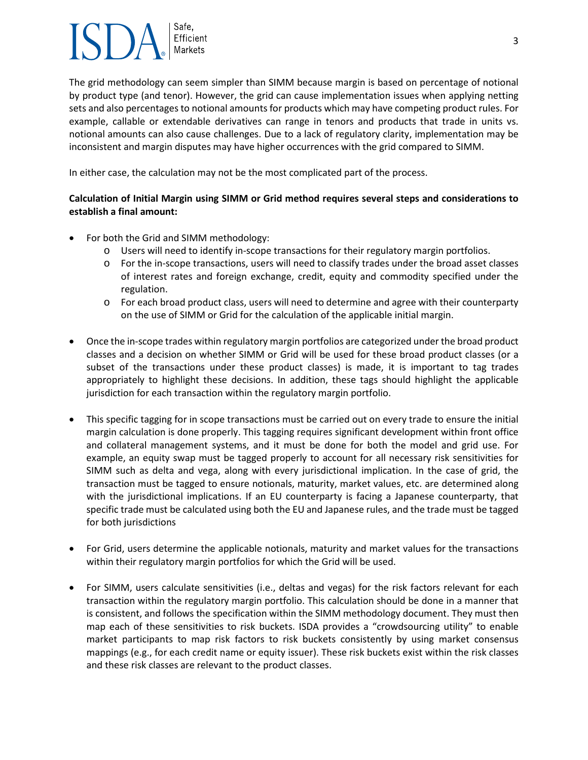## Safe. Efficient **Markets**

The grid methodology can seem simpler than SIMM because margin is based on percentage of notional by product type (and tenor). However, the grid can cause implementation issues when applying netting sets and also percentages to notional amounts for products which may have competing product rules. For example, callable or extendable derivatives can range in tenors and products that trade in units vs. notional amounts can also cause challenges. Due to a lack of regulatory clarity, implementation may be inconsistent and margin disputes may have higher occurrences with the grid compared to SIMM.

In either case, the calculation may not be the most complicated part of the process.

### **Calculation of Initial Margin using SIMM or Grid method requires several steps and considerations to establish a final amount:**

- For both the Grid and SIMM methodology:
	- o Users will need to identify in-scope transactions for their regulatory margin portfolios.
	- o For the in-scope transactions, users will need to classify trades under the broad asset classes of interest rates and foreign exchange, credit, equity and commodity specified under the regulation.
	- o For each broad product class, users will need to determine and agree with their counterparty on the use of SIMM or Grid for the calculation of the applicable initial margin.
- Once the in-scope trades within regulatory margin portfolios are categorized under the broad product classes and a decision on whether SIMM or Grid will be used for these broad product classes (or a subset of the transactions under these product classes) is made, it is important to tag trades appropriately to highlight these decisions. In addition, these tags should highlight the applicable jurisdiction for each transaction within the regulatory margin portfolio.
- This specific tagging for in scope transactions must be carried out on every trade to ensure the initial margin calculation is done properly. This tagging requires significant development within front office and collateral management systems, and it must be done for both the model and grid use. For example, an equity swap must be tagged properly to account for all necessary risk sensitivities for SIMM such as delta and vega, along with every jurisdictional implication. In the case of grid, the transaction must be tagged to ensure notionals, maturity, market values, etc. are determined along with the jurisdictional implications. If an EU counterparty is facing a Japanese counterparty, that specific trade must be calculated using both the EU and Japanese rules, and the trade must be tagged for both jurisdictions
- For Grid, users determine the applicable notionals, maturity and market values for the transactions within their regulatory margin portfolios for which the Grid will be used.
- For SIMM, users calculate sensitivities (i.e., deltas and vegas) for the risk factors relevant for each transaction within the regulatory margin portfolio. This calculation should be done in a manner that is consistent, and follows the specification within the SIMM methodology document. They must then map each of these sensitivities to risk buckets. ISDA provides a "crowdsourcing utility" to enable market participants to map risk factors to risk buckets consistently by using market consensus mappings (e.g., for each credit name or equity issuer). These risk buckets exist within the risk classes and these risk classes are relevant to the product classes.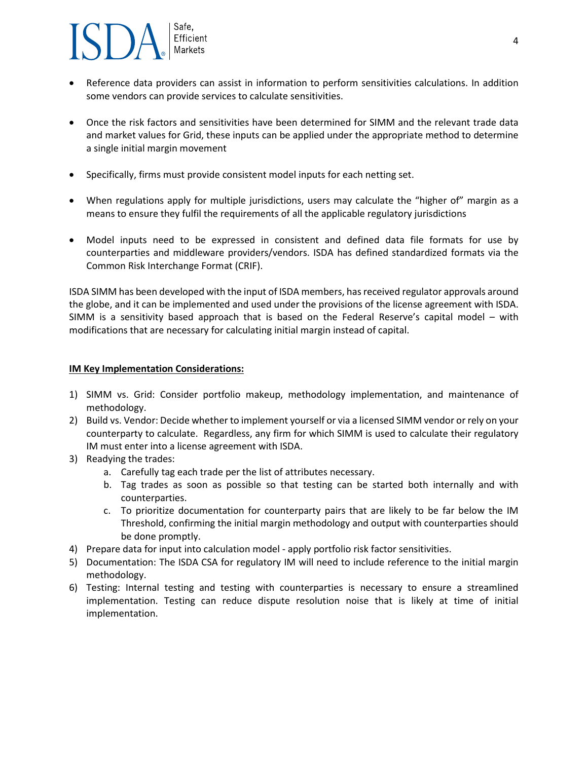# Safe. Efficient **Markets**

- Reference data providers can assist in information to perform sensitivities calculations. In addition some vendors can provide services to calculate sensitivities.
- Once the risk factors and sensitivities have been determined for SIMM and the relevant trade data and market values for Grid, these inputs can be applied under the appropriate method to determine a single initial margin movement
- Specifically, firms must provide consistent model inputs for each netting set.
- When regulations apply for multiple jurisdictions, users may calculate the "higher of" margin as a means to ensure they fulfil the requirements of all the applicable regulatory jurisdictions
- Model inputs need to be expressed in consistent and defined data file formats for use by counterparties and middleware providers/vendors. ISDA has defined standardized formats via the Common Risk Interchange Format (CRIF).

ISDA SIMM has been developed with the input of ISDA members, has received regulator approvals around the globe, and it can be implemented and used under the provisions of the license agreement with ISDA. SIMM is a sensitivity based approach that is based on the Federal Reserve's capital model – with modifications that are necessary for calculating initial margin instead of capital.

#### **IM Key Implementation Considerations:**

- 1) SIMM vs. Grid: Consider portfolio makeup, methodology implementation, and maintenance of methodology.
- 2) Build vs. Vendor: Decide whether to implement yourself or via a licensed SIMM vendor or rely on your counterparty to calculate. Regardless, any firm for which SIMM is used to calculate their regulatory IM must enter into a license agreement with ISDA.
- 3) Readying the trades:
	- a. Carefully tag each trade per the list of attributes necessary.
	- b. Tag trades as soon as possible so that testing can be started both internally and with counterparties.
	- c. To prioritize documentation for counterparty pairs that are likely to be far below the IM Threshold, confirming the initial margin methodology and output with counterparties should be done promptly.
- 4) Prepare data for input into calculation model apply portfolio risk factor sensitivities.
- 5) Documentation: The ISDA CSA for regulatory IM will need to include reference to the initial margin methodology.
- 6) Testing: Internal testing and testing with counterparties is necessary to ensure a streamlined implementation. Testing can reduce dispute resolution noise that is likely at time of initial implementation.